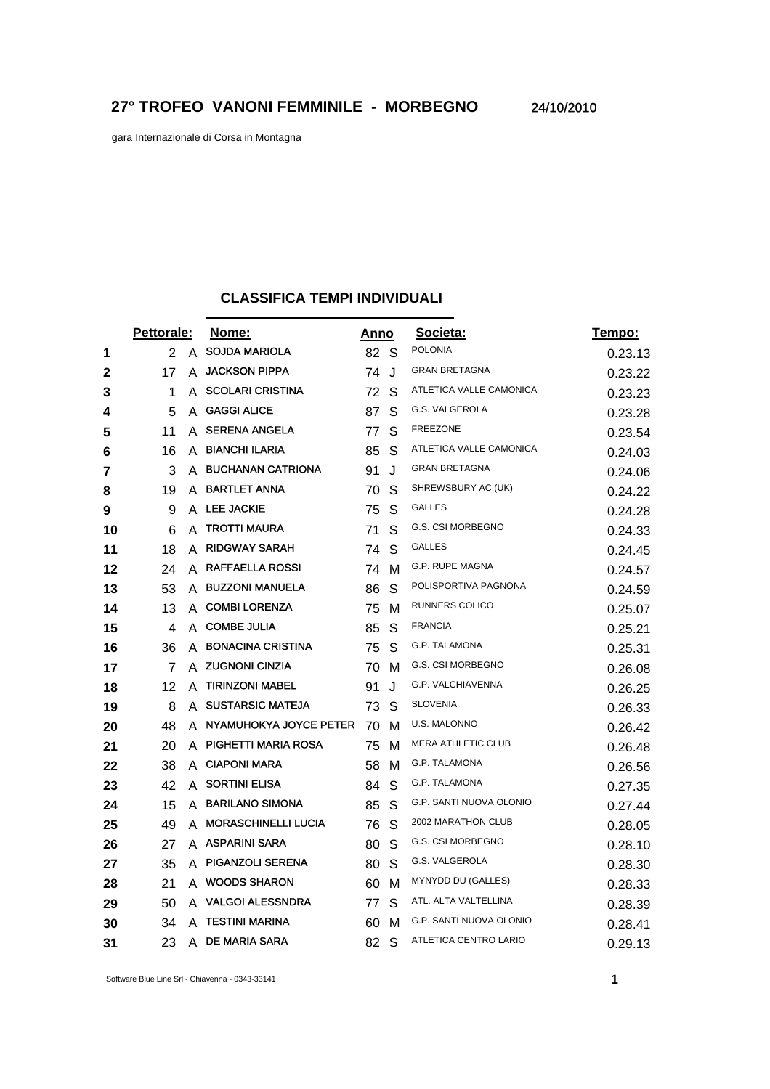gara Internazionale di Corsa in Montagna

## **CLASSIFICA TEMPI INDIVIDUALI**

|    | <b>Pettorale:</b> |   | Nome:                      |    | <u>Anno</u> | Societa:                  | Tempo:  |
|----|-------------------|---|----------------------------|----|-------------|---------------------------|---------|
| 1  | $\overline{2}$    | A | <b>SOJDA MARIOLA</b>       | 82 | S           | <b>POLONIA</b>            | 0.23.13 |
| 2  | 17                | A | <b>JACKSON PIPPA</b>       | 74 | J           | <b>GRAN BRETAGNA</b>      | 0.23.22 |
| 3  | 1                 | A | <b>SCOLARI CRISTINA</b>    | 72 | S           | ATLETICA VALLE CAMONICA   | 0.23.23 |
| 4  | 5                 | A | <b>GAGGI ALICE</b>         | 87 | S           | G.S. VALGEROLA            | 0.23.28 |
| 5  | 11                |   | A SERENA ANGELA            | 77 | S           | <b>FREEZONE</b>           | 0.23.54 |
| 6  | 16                | A | <b>BIANCHI ILARIA</b>      | 85 | S           | ATLETICA VALLE CAMONICA   | 0.24.03 |
| 7  | 3                 | A | <b>BUCHANAN CATRIONA</b>   | 91 | J           | <b>GRAN BRETAGNA</b>      | 0.24.06 |
| 8  | 19                |   | A BARTLET ANNA             | 70 | S           | SHREWSBURY AC (UK)        | 0.24.22 |
| 9  | 9                 | A | <b>LEE JACKIE</b>          | 75 | S           | <b>GALLES</b>             | 0.24.28 |
| 10 | 6                 | A | <b>TROTTI MAURA</b>        | 71 | S           | G.S. CSI MORBEGNO         | 0.24.33 |
| 11 | 18                | A | <b>RIDGWAY SARAH</b>       | 74 | S           | GALLES                    | 0.24.45 |
| 12 | 24                | A | <b>RAFFAELLA ROSSI</b>     | 74 | м           | G.P. RUPE MAGNA           | 0.24.57 |
| 13 | 53                | A | <b>BUZZONI MANUELA</b>     | 86 | S           | POLISPORTIVA PAGNONA      | 0.24.59 |
| 14 | 13                | A | <b>COMBI LORENZA</b>       | 75 | м           | RUNNERS COLICO            | 0.25.07 |
| 15 | 4                 | A | <b>COMBE JULIA</b>         | 85 | S           | <b>FRANCIA</b>            | 0.25.21 |
| 16 | 36                | A | <b>BONACINA CRISTINA</b>   | 75 | S           | G.P. TALAMONA             | 0.25.31 |
| 17 | 7                 |   | A ZUGNONI CINZIA           | 70 | м           | G.S. CSI MORBEGNO         | 0.26.08 |
| 18 | 12                | A | <b>TIRINZONI MABEL</b>     | 91 | J           | G.P. VALCHIAVENNA         | 0.26.25 |
| 19 | 8                 | A | <b>SUSTARSIC MATEJA</b>    | 73 | S           | <b>SLOVENIA</b>           | 0.26.33 |
| 20 | 48                | A | NYAMUHOKYA JOYCE PETER     | 70 | м           | U.S. MALONNO              | 0.26.42 |
| 21 | 20                | A | PIGHETTI MARIA ROSA        | 75 | м           | <b>MERA ATHLETIC CLUB</b> | 0.26.48 |
| 22 | 38                | A | <b>CIAPONI MARA</b>        | 58 | м           | G.P. TALAMONA             | 0.26.56 |
| 23 | 42                | A | <b>SORTINI ELISA</b>       | 84 | S           | G.P. TALAMONA             | 0.27.35 |
| 24 | 15                | A | <b>BARILANO SIMONA</b>     | 85 | S           | G.P. SANTI NUOVA OLONIO   | 0.27.44 |
| 25 | 49                | A | <b>MORASCHINELLI LUCIA</b> | 76 | S           | 2002 MARATHON CLUB        | 0.28.05 |
| 26 | 27                | A | <b>ASPARINI SARA</b>       | 80 | S           | G.S. CSI MORBEGNO         | 0.28.10 |
| 27 | 35                | A | <b>PIGANZOLI SERENA</b>    | 80 | S           | G.S. VALGEROLA            | 0.28.30 |
| 28 | 21                | A | <b>WOODS SHARON</b>        | 60 | м           | MYNYDD DU (GALLES)        | 0.28.33 |
| 29 | 50                | A | <b>VALGOI ALESSNDRA</b>    | 77 | S           | ATL. ALTA VALTELLINA      | 0.28.39 |
| 30 | 34                | А | <b>TESTINI MARINA</b>      | 60 | М           | G.P. SANTI NUOVA OLONIO   | 0.28.41 |
| 31 | 23                | A | <b>DE MARIA SARA</b>       | 82 | S           | ATLETICA CENTRO LARIO     | 0.29.13 |